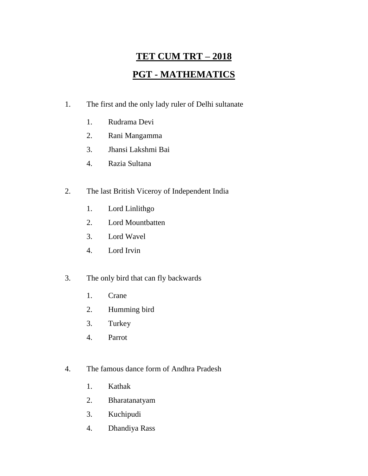# **TET CUM TRT – 2018 PGT - MATHEMATICS**

- 1. The first and the only lady ruler of Delhi sultanate
	- 1. Rudrama Devi
	- 2. Rani Mangamma
	- 3. Jhansi Lakshmi Bai
	- 4. Razia Sultana
- 2. The last British Viceroy of Independent India
	- 1. Lord Linlithgo
	- 2. Lord Mountbatten
	- 3. Lord Wavel
	- 4. Lord Irvin
- 3. The only bird that can fly backwards
	- 1. Crane
	- 2. Humming bird
	- 3. Turkey
	- 4. Parrot
- 4. The famous dance form of Andhra Pradesh
	- 1. Kathak
	- 2. Bharatanatyam
	- 3. Kuchipudi
	- 4. Dhandiya Rass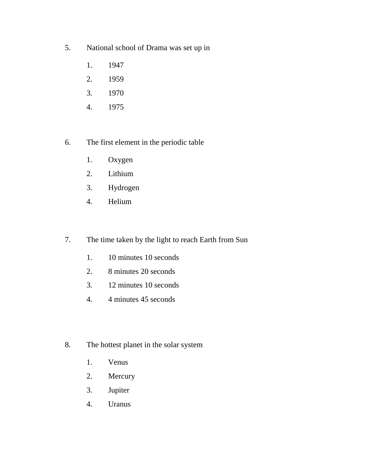- 5. National school of Drama was set up in
	- 1. 1947
	- 2. 1959
	- 3. 1970
	- 4. 1975
- 6. The first element in the periodic table
	- 1. Oxygen
	- 2. Lithium
	- 3. Hydrogen
	- 4. Helium
- 7. The time taken by the light to reach Earth from Sun
	- 1. 10 minutes 10 seconds
	- 2. 8 minutes 20 seconds
	- 3. 12 minutes 10 seconds
	- 4. 4 minutes 45 seconds
- 8. The hottest planet in the solar system
	- 1. Venus
	- 2. Mercury
	- 3. Jupiter
	- 4. Uranus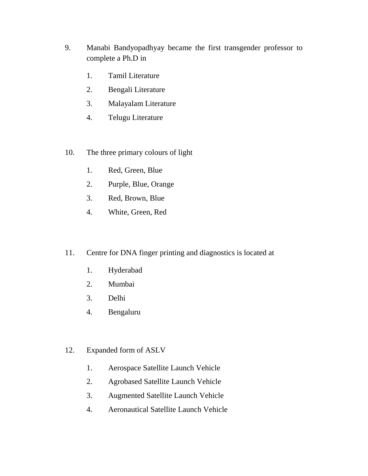- 9. Manabi Bandyopadhyay became the first transgender professor to complete a Ph.D in
	- 1. Tamil Literature
	- 2. Bengali Literature
	- 3. Malayalam Literature
	- 4. Telugu Literature
- 10. The three primary colours of light
	- 1. Red, Green, Blue
	- 2. Purple, Blue, Orange
	- 3. Red, Brown, Blue
	- 4. White, Green, Red
- 11. Centre for DNA finger printing and diagnostics is located at
	- 1. Hyderabad
	- 2. Mumbai
	- 3. Delhi
	- 4. Bengaluru
- 12. Expanded form of ASLV
	- 1. Aerospace Satellite Launch Vehicle
	- 2. Agrobased Satellite Launch Vehicle
	- 3. Augmented Satellite Launch Vehicle
	- 4. Aeronautical Satellite Launch Vehicle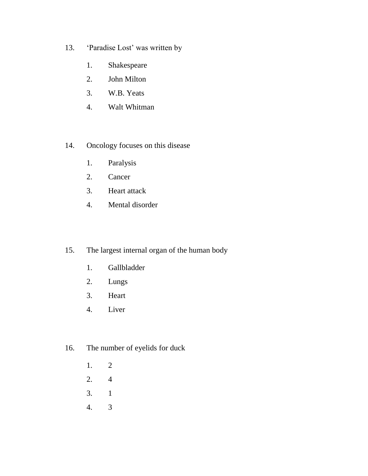- 13. 'Paradise Lost' was written by
	- 1. Shakespeare
	- 2. John Milton
	- 3. W.B. Yeats
	- 4. Walt Whitman
- 14. Oncology focuses on this disease
	- 1. Paralysis
	- 2. Cancer
	- 3. Heart attack
	- 4. Mental disorder
- 15. The largest internal organ of the human body
	- 1. Gallbladder
	- 2. Lungs
	- 3. Heart
	- 4. Liver
- 16. The number of eyelids for duck
	- 1. 2
	- 2. 4
	- 3. 1
	- 4. 3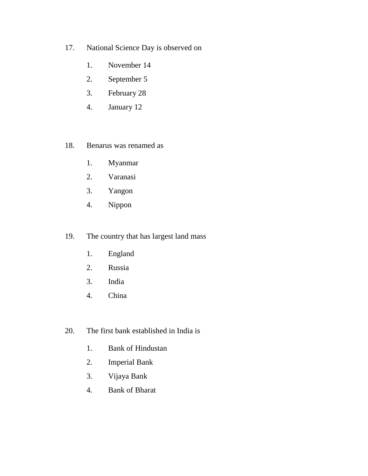- 17. National Science Day is observed on
	- 1. November 14
	- 2. September 5
	- 3. February 28
	- 4. January 12

#### 18. Benarus was renamed as

- 1. Myanmar
- 2. Varanasi
- 3. Yangon
- 4. Nippon

### 19. The country that has largest land mass

- 1. England
- 2. Russia
- 3. India
- 4. China
- 20. The first bank established in India is
	- 1. Bank of Hindustan
	- 2. Imperial Bank
	- 3. Vijaya Bank
	- 4. Bank of Bharat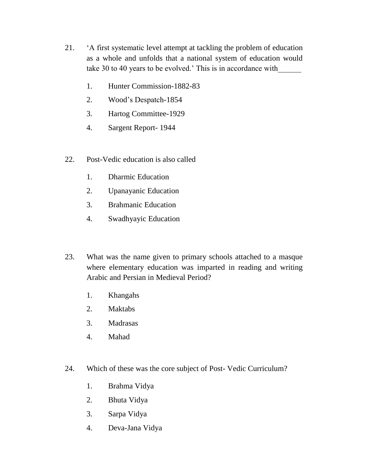- 21. 'A first systematic level attempt at tackling the problem of education as a whole and unfolds that a national system of education would take 30 to 40 years to be evolved.' This is in accordance with\_\_\_\_\_\_
	- 1. Hunter Commission-1882-83
	- 2. Wood's Despatch-1854
	- 3. Hartog Committee-1929
	- 4. Sargent Report- 1944
- 22. Post-Vedic education is also called
	- 1. Dharmic Education
	- 2. Upanayanic Education
	- 3. Brahmanic Education
	- 4. Swadhyayic Education
- 23. What was the name given to primary schools attached to a masque where elementary education was imparted in reading and writing Arabic and Persian in Medieval Period?
	- 1. Khangahs
	- 2. Maktabs
	- 3. Madrasas
	- 4. Mahad
- 24. Which of these was the core subject of Post- Vedic Curriculum?
	- 1. Brahma Vidya
	- 2. Bhuta Vidya
	- 3. Sarpa Vidya
	- 4. Deva-Jana Vidya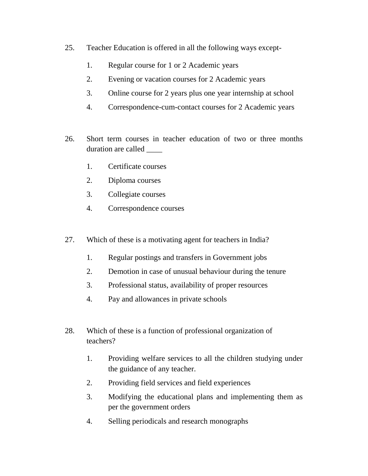- 25. Teacher Education is offered in all the following ways except-
	- 1. Regular course for 1 or 2 Academic years
	- 2. Evening or vacation courses for 2 Academic years
	- 3. Online course for 2 years plus one year internship at school
	- 4. Correspondence-cum-contact courses for 2 Academic years
- 26. Short term courses in teacher education of two or three months duration are called
	- 1. Certificate courses
	- 2. Diploma courses
	- 3. Collegiate courses
	- 4. Correspondence courses
- 27. Which of these is a motivating agent for teachers in India?
	- 1. Regular postings and transfers in Government jobs
	- 2. Demotion in case of unusual behaviour during the tenure
	- 3. Professional status, availability of proper resources
	- 4. Pay and allowances in private schools
- 28. Which of these is a function of professional organization of teachers?
	- 1. Providing welfare services to all the children studying under the guidance of any teacher.
	- 2. Providing field services and field experiences
	- 3. Modifying the educational plans and implementing them as per the government orders
	- 4. Selling periodicals and research monographs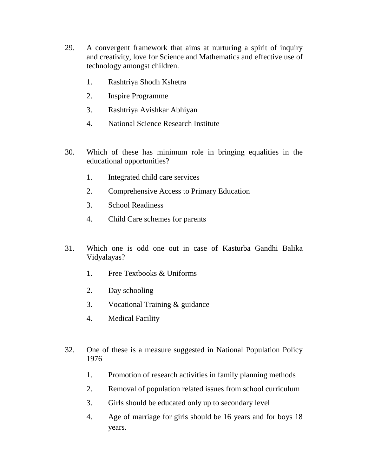- 29. A convergent framework that aims at nurturing a spirit of inquiry and creativity, love for Science and Mathematics and effective use of technology amongst children.
	- 1. Rashtriya Shodh Kshetra
	- 2. Inspire Programme
	- 3. Rashtriya Avishkar Abhiyan
	- 4. National Science Research Institute
- 30. Which of these has minimum role in bringing equalities in the educational opportunities?
	- 1. Integrated child care services
	- 2. Comprehensive Access to Primary Education
	- 3. School Readiness
	- 4. Child Care schemes for parents
- 31. Which one is odd one out in case of Kasturba Gandhi Balika Vidyalayas?
	- 1. Free Textbooks & Uniforms
	- 2. Day schooling
	- 3. Vocational Training & guidance
	- 4. Medical Facility
- 32. One of these is a measure suggested in National Population Policy 1976
	- 1. Promotion of research activities in family planning methods
	- 2. Removal of population related issues from school curriculum
	- 3. Girls should be educated only up to secondary level
	- 4. Age of marriage for girls should be 16 years and for boys 18 years.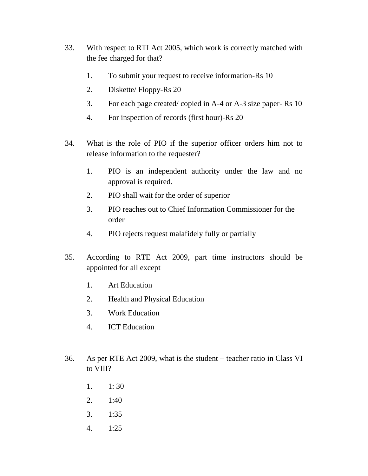- 33. With respect to RTI Act 2005, which work is correctly matched with the fee charged for that?
	- 1. To submit your request to receive information-Rs 10
	- 2. Diskette/ Floppy-Rs 20
	- 3. For each page created/ copied in A-4 or A-3 size paper- Rs 10
	- 4. For inspection of records (first hour)-Rs 20
- 34. What is the role of PIO if the superior officer orders him not to release information to the requester?
	- 1. PIO is an independent authority under the law and no approval is required.
	- 2. PIO shall wait for the order of superior
	- 3. PIO reaches out to Chief Information Commissioner for the order
	- 4. PIO rejects request malafidely fully or partially
- 35. According to RTE Act 2009, part time instructors should be appointed for all except
	- 1. Art Education
	- 2. Health and Physical Education
	- 3. Work Education
	- 4. ICT Education
- 36. As per RTE Act 2009, what is the student teacher ratio in Class VI to VIII?
	- 1. 1: 30
	- 2. 1:40
	- 3. 1:35
	- 4. 1:25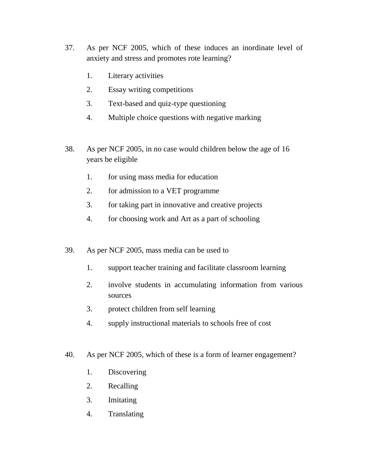- 37. As per NCF 2005, which of these induces an inordinate level of anxiety and stress and promotes rote learning?
	- 1. Literary activities
	- 2. Essay writing competitions
	- 3. Text-based and quiz-type questioning
	- 4. Multiple choice questions with negative marking
- 38. As per NCF 2005, in no case would children below the age of 16 years be eligible
	- 1. for using mass media for education
	- 2. for admission to a VET programme
	- 3. for taking part in innovative and creative projects
	- 4. for choosing work and Art as a part of schooling
- 39. As per NCF 2005, mass media can be used to
	- 1. support teacher training and facilitate classroom learning
	- 2. involve students in accumulating information from various sources
	- 3. protect children from self learning
	- 4. supply instructional materials to schools free of cost
- 40. As per NCF 2005, which of these is a form of learner engagement?
	- 1. Discovering
	- 2. Recalling
	- 3. Imitating
	- 4. Translating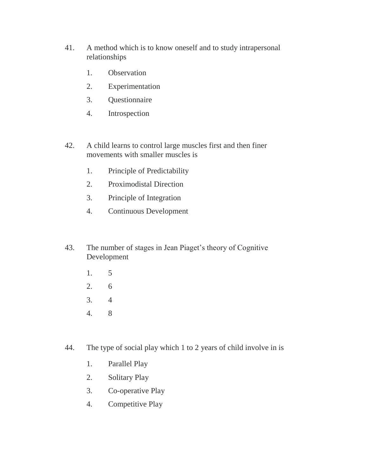- 41. A method which is to know oneself and to study intrapersonal relationships
	- 1. Observation
	- 2. Experimentation
	- 3. Questionnaire
	- 4. Introspection
- 42. A child learns to control large muscles first and then finer movements with smaller muscles is
	- 1. Principle of Predictability
	- 2. Proximodistal Direction
	- 3. Principle of Integration
	- 4. Continuous Development
- 43. The number of stages in Jean Piaget's theory of Cognitive Development
	- 1. 5
	- 2. 6
	- 3. 4
	- 4. 8
- 44. The type of social play which 1 to 2 years of child involve in is
	- 1. Parallel Play
	- 2. Solitary Play
	- 3. Co-operative Play
	- 4. Competitive Play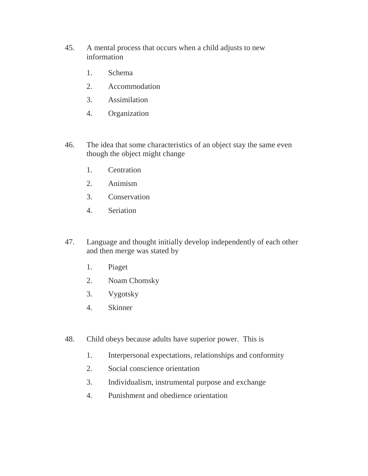- 45. A mental process that occurs when a child adjusts to new information
	- 1. Schema
	- 2. Accommodation
	- 3. Assimilation
	- 4. Organization
- 46. The idea that some characteristics of an object stay the same even though the object might change
	- 1. Centration
	- 2. Animism
	- 3. Conservation
	- 4. Seriation
- 47. Language and thought initially develop independently of each other and then merge was stated by
	- 1. Piaget
	- 2. Noam Chomsky
	- 3. Vygotsky
	- 4. Skinner
- 48. Child obeys because adults have superior power. This is
	- 1. Interpersonal expectations, relationships and conformity
	- 2. Social conscience orientation
	- 3. Individualism, instrumental purpose and exchange
	- 4. Punishment and obedience orientation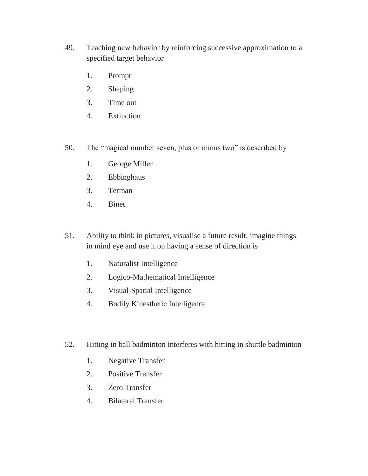- 49. Teaching new behavior by reinforcing successive approximation to a specified target behavior
	- 1. Prompt
	- 2. Shaping
	- 3. Time out
	- 4. Extinction
- 50. The "magical number seven, plus or minus two" is described by
	- 1. George Miller
	- 2. Ebbinghaus
	- 3. Terman
	- 4. Binet
- 51. Ability to think in pictures, visualise a future result, imagine things in mind eye and use it on having a sense of direction is
	- 1. Naturalist Intelligence
	- 2. Logico-Mathematical Intelligence
	- 3. Visual-Spatial Intelligence
	- 4. Bodily Kinesthetic Intelligence
- 52. Hitting in ball badminton interferes with hitting in shuttle badminton
	- 1. Negative Transfer
	- 2. Positive Transfer
	- 3. Zero Transfer
	- 4. Bilateral Transfer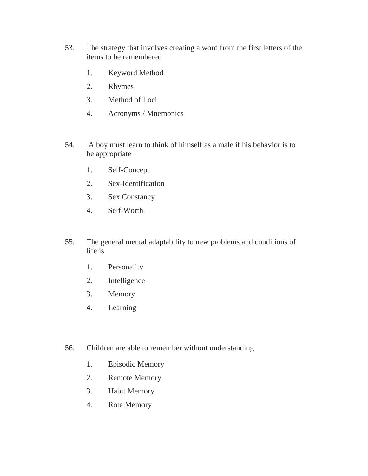- 53. The strategy that involves creating a word from the first letters of the items to be remembered
	- 1. Keyword Method
	- 2. Rhymes
	- 3. Method of Loci
	- 4. Acronyms / Mnemonics
- 54. A boy must learn to think of himself as a male if his behavior is to be appropriate
	- 1. Self-Concept
	- 2. Sex-Identification
	- 3. Sex Constancy
	- 4. Self-Worth
- 55. The general mental adaptability to new problems and conditions of life is
	- 1. Personality
	- 2. Intelligence
	- 3. Memory
	- 4. Learning
- 56. Children are able to remember without understanding
	- 1. Episodic Memory
	- 2. Remote Memory
	- 3. Habit Memory
	- 4. Rote Memory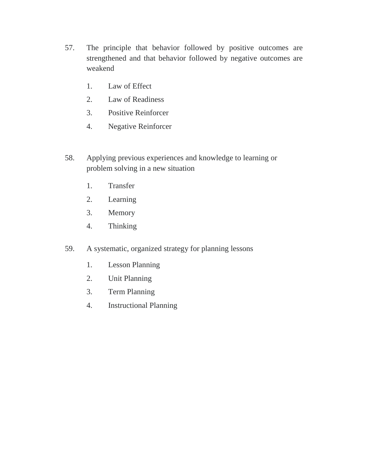- 57. The principle that behavior followed by positive outcomes are strengthened and that behavior followed by negative outcomes are weakend
	- 1. Law of Effect
	- 2. Law of Readiness
	- 3. Positive Reinforcer
	- 4. Negative Reinforcer
- 58. Applying previous experiences and knowledge to learning or problem solving in a new situation
	- 1. Transfer
	- 2. Learning
	- 3. Memory
	- 4. Thinking
- 59. A systematic, organized strategy for planning lessons
	- 1. Lesson Planning
	- 2. Unit Planning
	- 3. Term Planning
	- 4. Instructional Planning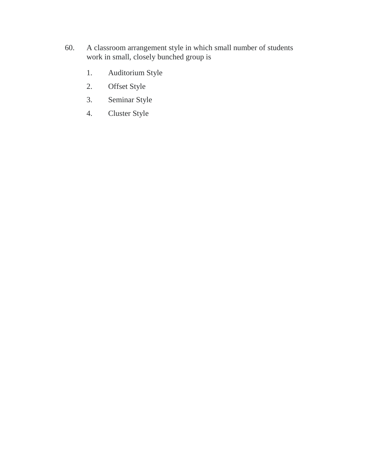- 60. A classroom arrangement style in which small number of students work in small, closely bunched group is
	- 1. Auditorium Style
	- 2. Offset Style
	- 3. Seminar Style
	- 4. Cluster Style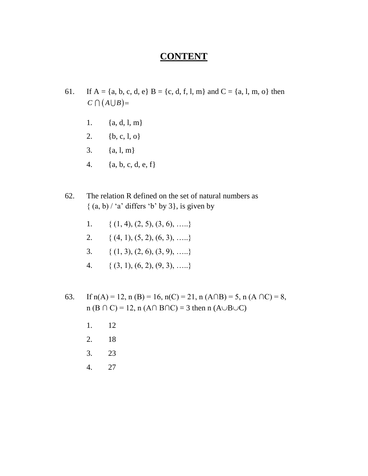#### **CONTENT**

- 61. If  $A = \{a, b, c, d, e\}$   $B = \{c, d, f, l, m\}$  and  $C = \{a, l, m, o\}$  then  $C \bigcap (A \bigcup B) =$ 
	- 1.  ${a, d, l, m}$
	- 2.  ${b, c, l, o}$
	- 3.  ${a, 1, m}$
	- 4.  ${a, b, c, d, e, f}$
- 62. The relation R defined on the set of natural numbers as  $\{(a, b) / a'$  differs 'b' by 3, is given by
	- 1. {  $(1, 4), (2, 5), (3, 6), \ldots$ }
	- 2. {  $(4, 1), (5, 2), (6, 3), \ldots$ }
	- 3. {  $(1, 3), (2, 6), (3, 9), \ldots$ }
	- 4. {  $(3, 1), (6, 2), (9, 3), \ldots$ }
- 63. If  $n(A) = 12$ ,  $n(B) = 16$ ,  $n(C) = 21$ ,  $n(A \cap B) = 5$ ,  $n(A \cap C) = 8$ ,  $n (B \cap C) = 12$ ,  $n (A \cap B \cap C) = 3$  then  $n (A \cup B \cup C)$ 
	- 1. 12
	- 2. 18
	- 3. 23
	- 4. 27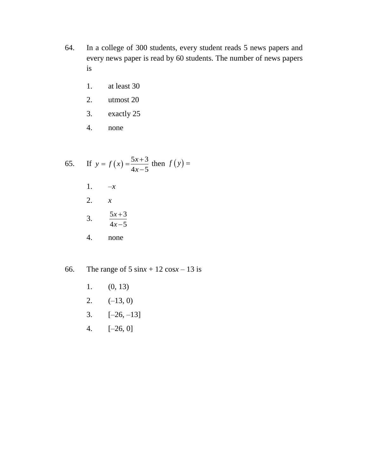- 64. In a college of 300 students, every student reads 5 news papers and every news paper is read by 60 students. The number of news papers is
	- 1. at least 30
	- 2. utmost 20
	- 3. exactly 25
	- 4. none

65. If 
$$
y = f(x) = \frac{5x+3}{4x-5}
$$
 then  $f(y) =$   
\n1.  $-x$   
\n2.  $x$   
\n3.  $\frac{5x+3}{4x-5}$   
\n4. none

- 66. The range of 5 sin $x + 12 \cos x 13$  is
	- 1. (0, 13)
	- 2.  $(-13, 0)$
	- 3.  $[-26, -13]$
	- 4. [–26, 0]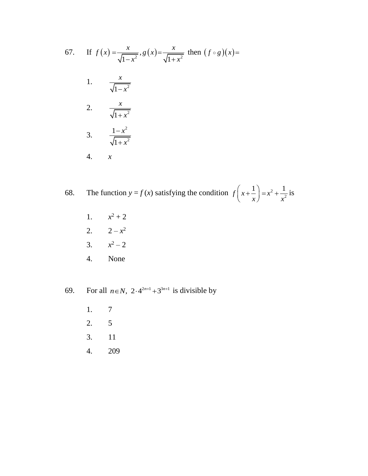67. If 
$$
f(x) = \frac{x}{\sqrt{1-x^2}}
$$
,  $g(x) = \frac{x}{\sqrt{1+x^2}}$  then  $(f \circ g)(x) =$   
\n1.  $\frac{x}{\sqrt{1-x^2}}$   
\n2.  $\frac{x}{\sqrt{1+x^2}}$   
\n3.  $\frac{1-x^2}{\sqrt{1+x^2}}$   
\n4. x

68. The function  $y = f(x)$  satisfying the condition  $f(x) + \frac{1}{x} = x^2$  $f\left(x+\frac{1}{x}\right) = x^2 + \frac{1}{x^2}$  $\left(x+\frac{1}{x}\right)=x^2+\frac{1}{x^2}$ is

- 1.  $x^2 + 2$
- 2.  $2-x^2$
- 3. *x*  $x^2 - 2$
- 4. None

69. For all  $n \in N$ ,  $2 \cdot 4^{2n+1} + 3^{3n+1}$  is divisible by

- 1. 7
- 2. 5
- 3. 11
- 4. 209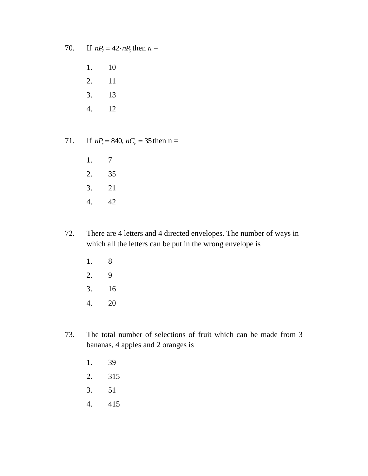70.  $nP_7 = 42 \cdot nP_5$  then  $n =$ 

1. 10

- 2. 11
- 3. 13
- 4. 12

71.  $nP_r = 840$ ,  $nC_r = 35$  then n =

- 1. 7 2. 35 3. 21
- 4. 42
- 72. There are 4 letters and 4 directed envelopes. The number of ways in which all the letters can be put in the wrong envelope is
	- 1. 8 2. 9 3. 16
	-
	- 4. 20
- 73. The total number of selections of fruit which can be made from 3 bananas, 4 apples and 2 oranges is
	- 1. 39
	- 2. 315
	- 3. 51
	- 4. 415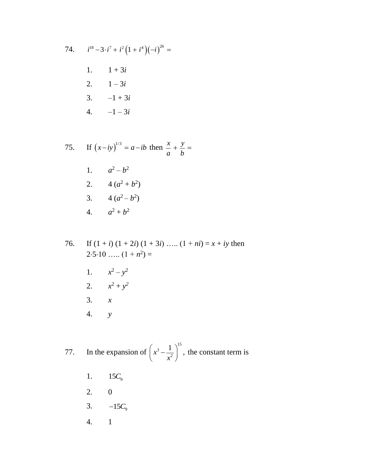74. 
$$
i^{18} - 3 \cdot i^7 + i^2 (1 + i^4) (-i)^{26} =
$$
  
1. 
$$
1 + 3i
$$
  
2. 
$$
1 - 3i
$$
  
3. 
$$
-1 + 3i
$$
  
4. 
$$
-1 - 3i
$$

75. If 
$$
(x-iy)^{1/3} = a - ib
$$
 then  $\frac{x}{a} + \frac{y}{b} =$   
\n1.  $a^2 - b^2$   
\n2.  $4(a^2 + b^2)$   
\n3.  $4(a^2 - b^2)$   
\n4.  $a^2 + b^2$ 

76. If  $(1 + i) (1 + 2i) (1 + 3i) \ldots (1 + ni) = x + iy$  then  $2.5.10$  …..  $(1 + n^2) =$ 1.  $x^2 - y^2$ 2.  $x^2 + y^2$ 3. *x* 4. *y*

77. In the expansion of 15 3 2  $x^3 - \frac{1}{2}$ ,  $\left(x^3 - \frac{1}{x^2}\right)^{15}$ the constant term is

- 1. <sup>9</sup> 15*C*
- 2. 0
- 3.  $-15C_9$
- 4. 1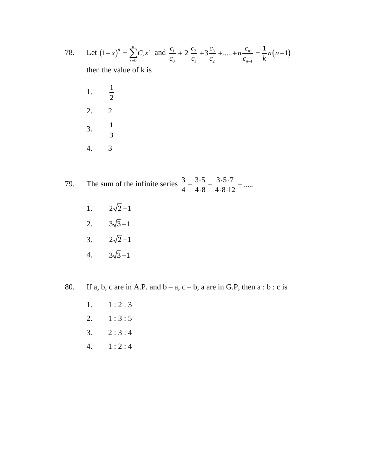78. Let 
$$
(1+x)^n = \sum_{r=0}^n C_r x^r
$$
 and  $\frac{C_1}{C_0} + 2 \frac{C_2}{C_1} + 3 \frac{C_3}{C_2} + \dots + n \frac{C_n}{C_{n-1}} = \frac{1}{k} n(n+1)$ 

then the value of k is

- 1. 1 2 2. 2 3. 1 3 4. 3
- 79. The sum of the infinite series  $\frac{3}{4} + \frac{3 \cdot 5}{4 \cdot 8} + \frac{3 \cdot 5 \cdot 7}{4 \cdot 8 \cdot 12} + \dots$  $+\frac{3\cdot 5}{4\cdot 9}+\frac{3\cdot 5\cdot 7}{4\cdot 9\cdot 12}+....$  $\frac{1}{8} + \frac{1}{4.8.12}$ 
	- 1.  $2\sqrt{2}+1$
	- 2.  $3\sqrt{3}+1$
	- 3.  $2\sqrt{2}-1$
	- 4.  $3\sqrt{3}-1$

80. If a, b, c are in A.P. and  $b - a$ ,  $c - b$ , a are in G.P, then  $a : b : c$  is

- 1.  $1 : 2 : 3$
- 2.  $1:3:5$
- 3.  $2:3:4$
- 4. 1 : 2 : 4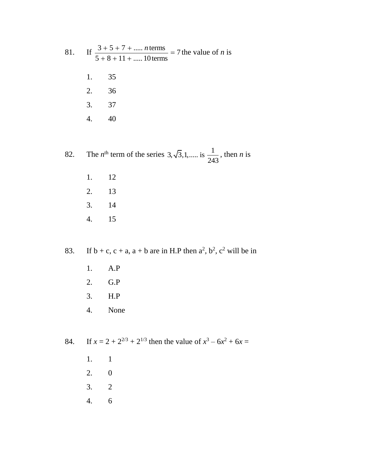|       | 81. If $\frac{3+5+7+ \text{ } n \text{ terms}}{5+8+11+ 10 \text{ terms}} = 7$ the value of <i>n</i> is |
|-------|--------------------------------------------------------------------------------------------------------|
|       | 1. 35                                                                                                  |
|       | 2. 36                                                                                                  |
| 3. 37 |                                                                                                        |
|       |                                                                                                        |
|       |                                                                                                        |

82. The *n*<sup>th</sup> term of the series  $3, \sqrt{3}, 1, \dots$  is  $\frac{1}{24}$ 243 , then *n* is

- 1. 12 2. 13
- 3. 14
- 4. 15

83. If  $b + c$ ,  $c + a$ ,  $a + b$  are in H.P then  $a^2$ ,  $b^2$ ,  $c^2$  will be in

- 1. A.P
- 2. G.P
- 3. H.P
- 4. None

84. If  $x = 2 + 2^{2/3} + 2^{1/3}$  then the value of  $x^3 - 6x^2 + 6x = 0$ 

- 1. 1
- 2. 0
- 3. 2
- 4. 6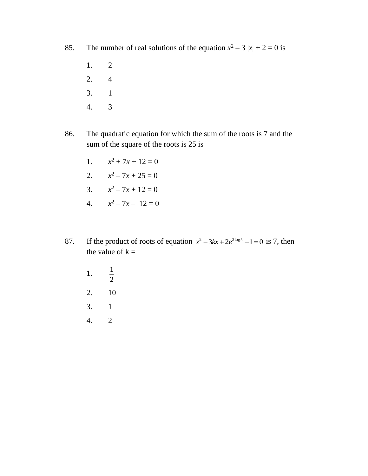85. The number of real solutions of the equation  $x^2 - 3 |x| + 2 = 0$  is

- 1. 2
- 2. 4
- 3. 1
- 4. 3
- 86. The quadratic equation for which the sum of the roots is 7 and the sum of the square of the roots is 25 is
	- 1. *x*  $x^2 + 7x + 12 = 0$
	- 2.  $x^2 7x + 25 = 0$
	- 3.  $x^2 7x + 12 = 0$
	- 4.  $x^2 7x 12 = 0$
- 87. If the product of roots of equation  $x^2 3kx + 2e^{2\log k} 1 = 0$  is 7, then the value of  $k =$ 
	- 1. 1 2 2. 10 3. 1 4. 2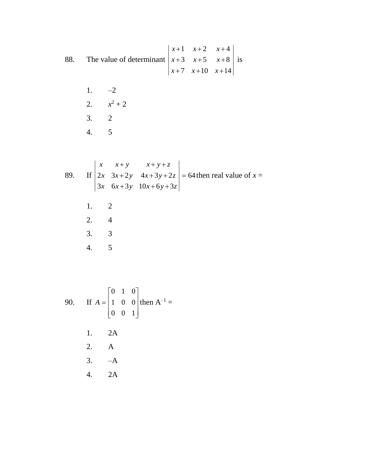88. The value of determinant 1  $x+2$   $x+4$ 3  $x+5$   $x+8$ 7  $x+10$   $x+14$  $x+1$   $x+2$  *x*  $x+3$   $x+5$   $x$  $x+7$   $x+10$  *x*  $+1$   $x+2$   $x+4$  $+3$   $x+5$   $x+8$  $+7$   $x+10$   $x+14$ is

> 1.  $-2$ 2.  $x^2 + 2$ 3. 2 4. 5

89. If 
$$
\begin{vmatrix} x & x+y & x+y+z \\ 2x & 3x+2y & 4x+3y+2z \\ 3x & 6x+3y & 10x+6y+3z \end{vmatrix} = 64
$$
 then real value of  $x =$   
\n1. 2  
\n2. 4  
\n3. 3  
\n4. 5

90. If 
$$
A = \begin{bmatrix} 0 & 1 & 0 \\ 1 & 0 & 0 \\ 0 & 0 & 1 \end{bmatrix}
$$
 then  $A^{-1} =$   
\n1. 2A  
\n2. A  
\n3. -A  
\n4. 2A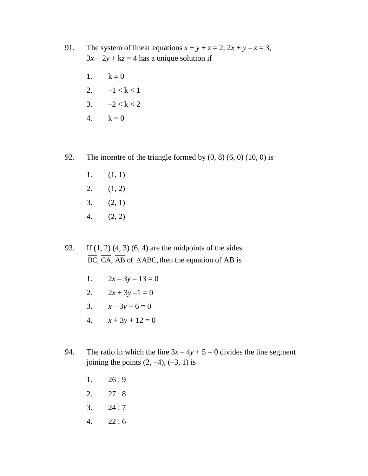- 91. The system of linear equations  $x + y + z = 2$ ,  $2x + y z = 3$ ,  $3x + 2y + kz = 4$  has a unique solution if
	- 1.  $k \neq 0$
	- 2.  $-1 < k < 1$
	- 3.  $-2 < k < 2$
	- 4.  $k = 0$
- 92. The incentre of the triangle formed by  $(0, 8)$   $(6, 0)$   $(10, 0)$  is
	- 1.  $(1, 1)$
	- 2.  $(1, 2)$
	- 3. (2, 1)
	- 4. (2, 2)
- 93. If (1, 2) (4, 3) (6, 4) are the midpoints of the sides  $\overline{BC}$ ,  $\overline{CA}$ ,  $\overline{AB}$  of  $\triangle ABC$ , then the equation of AB is
	- 1.  $2x-3y-13=0$
	- 2.  $2x + 3y 1 = 0$
	- 3.  $x-3y+6=0$
	- 4.  $x + 3y + 12 = 0$
- 94. The ratio in which the line  $3x 4y + 5 = 0$  divides the line segment joining the points  $(2, -4)$ ,  $(-3, 1)$  is
	- 1.  $26:9$
	- 2.  $27:8$
	- 3.  $24:7$
	- 4. 22 : 6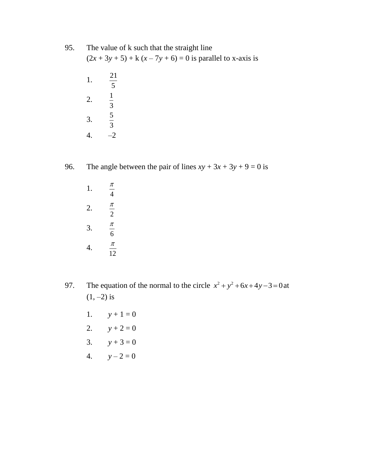- 95. The value of k such that the straight line  $(2x + 3y + 5) + k(x - 7y + 6) = 0$  is parallel to x-axis is
	- 1. 21 5 2. 1 3 3. 5 3 4.  $-2$

96. The angle between the pair of lines  $xy + 3x + 3y + 9 = 0$  is

1. 4 π 2. 2 π 3. 6 π 4. 12 π

97. The equation of the normal to the circle  $x^2 + y^2 + 6x + 4y - 3 = 0$  at  $(1, -2)$  is

- 1.  $y + 1 = 0$
- 2.  $y + 2 = 0$
- 3.  $y + 3 = 0$
- 4.  $y 2 = 0$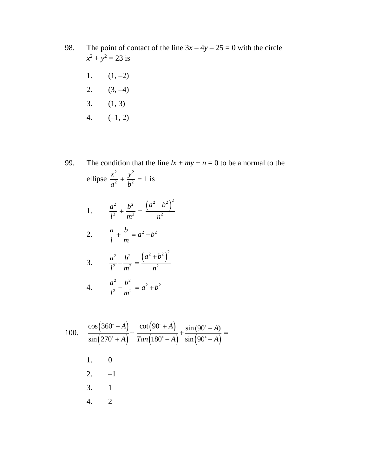- 98. The point of contact of the line  $3x 4y 25 = 0$  with the circle  $x^2 + y^2 = 23$  is
	- 1.  $(1, -2)$ 2.  $(3, -4)$ 3. (1, 3)
	- 4.  $(-1, 2)$
- 99. The condition that the line  $lx + my + n = 0$  to be a normal to the ellipse 2  $\ldots$ <sup>2</sup>  $rac{x^2}{a^2} + \frac{y^2}{b^2} = 1$  $a^2$  *b*  $+\frac{y}{12} = 1$  is 1. 2  $b^2$   $(a^2-b^2)^2$  $\frac{1}{2} + \frac{1}{m^2} = \frac{1}{m^2}$  $a^2$  *b*  $b^2$   $(a^2-b)$  $\frac{1}{l^2} + \frac{1}{m^2} = \frac{1}{n}$  $+\frac{b^2}{2}=\frac{(a^2-1)}{2}$ 2.  $\frac{a}{1} + \frac{b}{2} = a^2 - b^2$ *l m*  $+\frac{b}{-} = a^2 - b$ 3. 2  $b^2$   $(a^2+b^2)^2$  $\frac{1}{2} - \frac{1}{m^2} = \frac{1}{m^2}$  $a^2$   $b^2$   $(a^2+b)$  $\frac{1}{l^2} - \frac{1}{m^2} = \frac{1}{n}$  $-\frac{b^2}{2}=\frac{(a^2+1)}{2}$ 4. <sup>2</sup>  $b^2$   $a^2 + b^2$  $rac{a^2}{a^2} - \frac{b^2}{a^2} = a^2 + b$  $\overline{l^2}$  m  $-\frac{b}{2} = a^2 + b$

100. 
$$
\frac{\cos(360^\circ - A)}{\sin(270^\circ + A)} + \frac{\cot(90^\circ + A)}{\tan(180^\circ - A)} + \frac{\sin(90^\circ - A)}{\sin(90^\circ + A)} =
$$
  
1. 0  
2. -1  
3. 1  
4. 2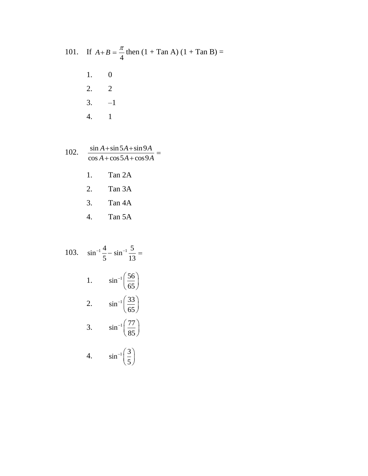101. If 
$$
A+B = \frac{\pi}{4}
$$
 then  $(1 + \text{Tan A}) (1 + \text{Tan B}) =$   
1. 0  
2. 2  
3. -1  
4. 1

102. 
$$
\frac{\sin A + \sin 5A + \sin 9A}{\cos A + \cos 5A + \cos 9A} =
$$

- 1. Tan 2A
- 2. Tan 3A
- 3. Tan 4A
- 4. Tan 5A

103. 
$$
\sin^{-1} \frac{4}{5} - \sin^{-1} \frac{5}{13} =
$$
  
\n1.  $\sin^{-1} \left(\frac{56}{65}\right)$   
\n2.  $\sin^{-1} \left(\frac{33}{65}\right)$   
\n3.  $\sin^{-1} \left(\frac{77}{85}\right)$   
\n4.  $\sin^{-1} \left(\frac{3}{5}\right)$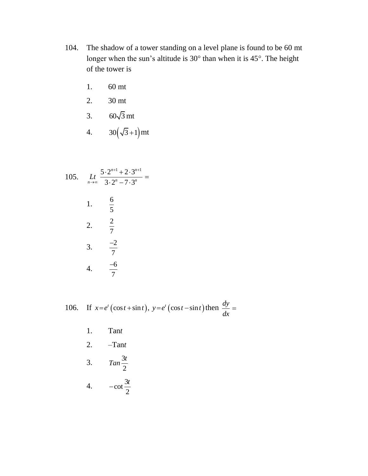- 104. The shadow of a tower standing on a level plane is found to be 60 mt longer when the sun's altitude is  $30^{\circ}$  than when it is  $45^{\circ}$ . The height of the tower is
	- 1. 60 mt
	- 2. 30 mt
	- 3. 60√3 mt
	- 4.  $30(\sqrt{3}+1)$  mt

105. 
$$
\lim_{n \to \infty} \frac{5 \cdot 2^{n+1} + 2 \cdot 3^{n+1}}{3 \cdot 2^n - 7 \cdot 3^n} =
$$
\n1. 
$$
\frac{6}{5}
$$
\n2. 
$$
\frac{2}{7}
$$
\n3. 
$$
\frac{-2}{7}
$$
\n4. 
$$
\frac{-6}{7}
$$

106. If 
$$
x=e^t(\cos t + \sin t)
$$
,  $y=e^t(\cos t - \sin t)$  then  $\frac{dy}{dx} =$ 

- 1. Tan*t*
- 2. –Tan*t*
- 3. 3 2  $Tan \frac{3t}{2}$
- 4.  $\cot \frac{3}{2}$ 2  $-\cot \frac{3t}{2}$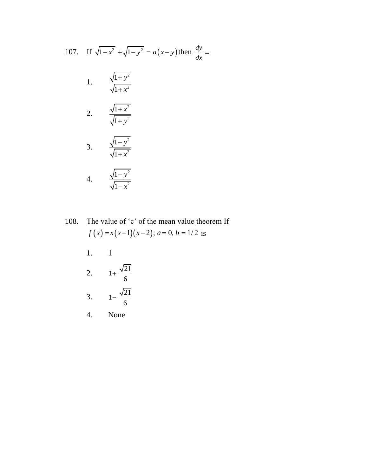107. If 
$$
\sqrt{1-x^2} + \sqrt{1-y^2} = a(x-y)
$$
 then  $\frac{dy}{dx} =$   
\n1.  $\frac{\sqrt{1+y^2}}{\sqrt{1+x^2}}$   
\n2.  $\frac{\sqrt{1+x^2}}{\sqrt{1+y^2}}$   
\n3.  $\frac{\sqrt{1-y^2}}{\sqrt{1+x^2}}$   
\n4.  $\frac{\sqrt{1-y^2}}{\sqrt{1-x^2}}$ 

108. The value of 'c' of the mean value theorem If The value of 'c' of the mean value the  $f(x) = x(x-1)(x-2)$ ;  $a = 0, b = 1/2$  is

- 1. 1
- 2.  $1 + \frac{\sqrt{21}}{1}$ 6  $\ddot{}$
- 3.  $1 - \frac{\sqrt{21}}{2}$ 6  $\overline{a}$
- 4. None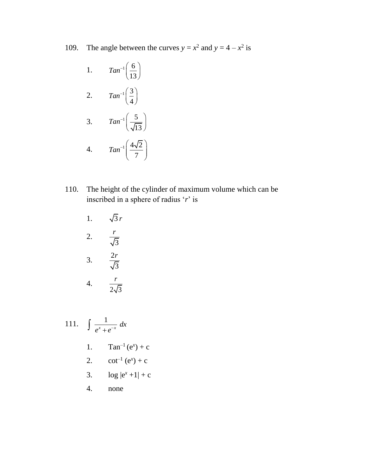109. The angle between the curves  $y = x^2$  and  $y = 4 - x^2$  is

1. 
$$
Tan^{-1}\left(\frac{6}{13}\right)
$$
  
\n2.  $Tan^{-1}\left(\frac{3}{4}\right)$   
\n3.  $Tan^{-1}\left(\frac{5}{\sqrt{13}}\right)$   
\n4.  $Tan^{-1}\left(\frac{4\sqrt{2}}{7}\right)$ 

- 110. The height of the cylinder of maximum volume which can be inscribed in a sphere of radius '*r*' is
	- 1.  $\sqrt{3} r$ 2. 3 *r* 3.  $\frac{2}{7}$ 3 *r* 4.  $2\sqrt{3}$ *r*

111.  $\int \frac{1}{x}$  $\frac{1}{x}$  dx  $\int \frac{1}{e^x + e^{-}}$ 1.  $Tan^{-1}(e^x) + c$ 2.  $cot^{-1}(e^x) + c$ 3.  $\log |e^x + 1| + c$ 4. none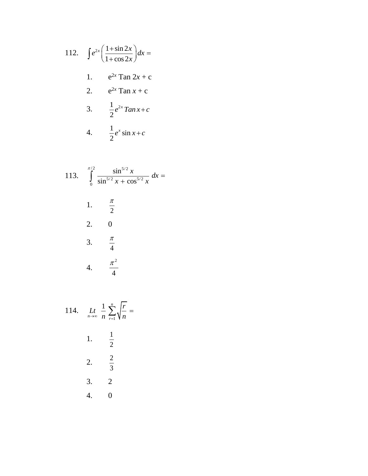112. 
$$
\int e^{2x} \left( \frac{1 + \sin 2x}{1 + \cos 2x} \right) dx =
$$
  
1. 
$$
e^{2x} \tan 2x + c
$$
  
2. 
$$
e^{2x} \tan x + c
$$
  
3. 
$$
\frac{1}{2} e^{2x} \tan x + c
$$
  
4. 
$$
\frac{1}{2} e^{x} \sin x + c
$$

113. 
$$
\int_{0}^{\pi/2} \frac{\sin^{5/2} x}{\sin^{5/2} x + \cos^{5/2} x} dx =
$$
  
1.  $\frac{\pi}{2}$   
2. 0  
3.  $\frac{\pi}{4}$   
4.  $\frac{\pi^2}{4}$ 

114. 
$$
\lim_{n \to \infty} \frac{1}{n} \sum_{r=1}^{n} \sqrt{\frac{r}{n}} =
$$
\n1. 
$$
\frac{1}{2}
$$
\n2. 
$$
\frac{2}{3}
$$
\n3. 2\n4. 0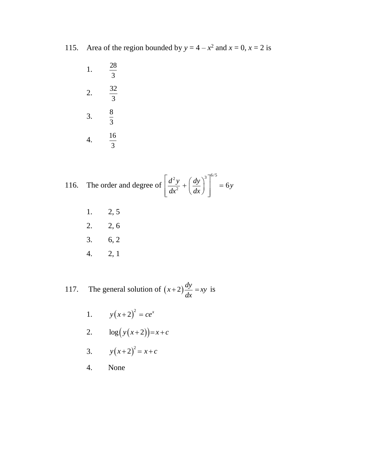- 115. Area of the region bounded by  $y = 4 x^2$  and  $x = 0$ ,  $x = 2$  is
	- 1. 28 3 2.  $\frac{32}{9}$ 3 3.  $\frac{8}{9}$ 3 4.  $\frac{16}{1}$ 3

116. The order and degree of 
$$
\left[\frac{d^2y}{dx^2} + \left(\frac{dy}{dx}\right)^3\right]^{6/5} = 6y
$$

- 1. 2, 5
- 2. 2, 6
- 3. 6, 2
- 4. 2, 1

117. The general solution of  $(x+2)\frac{dy}{dx} = xy$ *dx*  $(x+2)\frac{dy}{dx}$  = xy is

- 1.  $y(x+2)^2 = ce^x$
- 2.  $\log(y(x+2)) = x + c$
- 3.  $y(x+2)^2 = x+c$
- 4. None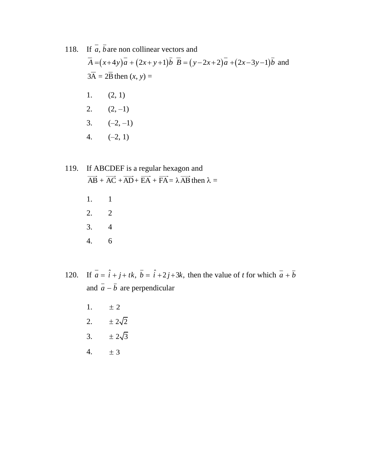## 118. If *a*, *b* are non collinear vectors and *A*  $\overline{A} = (x+4y)\overline{a} + (2x+y+1)\overline{b} + (\overline{B})\overline{b} = (y-2x+2)\overline{a} + (2x-3y-1)\overline{b}$  and and  $3A = 2B$  then  $(x, y) =$ 1.  $(2, 1)$ 2.  $(2, -1)$ 3.  $(-2, -1)$ 4.  $(-2, 1)$

## 119. If ABCDEF is a regular hexagon and  $\overrightarrow{AB} + \overrightarrow{AC} + \overrightarrow{AD} + \overrightarrow{EA} + \overrightarrow{FA} = \lambda \overrightarrow{AB}$  then  $\lambda =$ 1. 1

- 2. 2 3. 4 4. 6
- 120. If  $\overline{a} = \hat{i} + \hat{j} + \hat{k}$ ,  $\overline{b} = \hat{i} + 2\hat{j} + 3\hat{k}$ , then the value of *t* for which  $\overline{a} + \overline{b}$ and  $a - b$  are perpendicular
	- 1.  $± 2$
	- 2.  $\pm 2\sqrt{2}$
	- 3.  $\pm 2\sqrt{3}$
	- 4.  $\pm 3$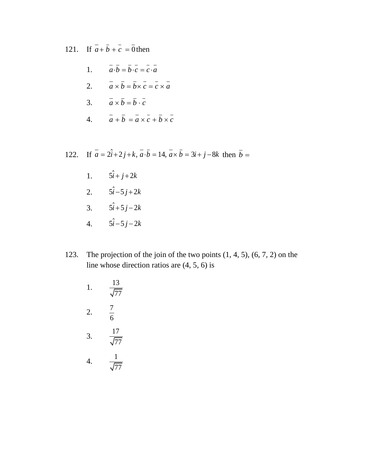121. If  $a + b + c = 0$  then

1. 
$$
\vec{a} \cdot \vec{b} = \vec{b} \cdot \vec{c} = \vec{c} \cdot \vec{a}
$$
  
\n2.  $\vec{a} \times \vec{b} = \vec{b} \times \vec{c} = \vec{c} \times \vec{a}$   
\n3.  $\vec{a} \times \vec{b} = \vec{b} \cdot \vec{c}$   
\n4.  $\vec{a} + \vec{b} = \vec{a} \times \vec{c} + \vec{b} \times \vec{c}$ 

122. If  $\bar{a} = 2\hat{i} + 2\hat{j} + \hat{k}, \bar{a} \cdot \bar{b} = 14, \bar{a} \times \bar{b} = 3\hat{i} + \hat{j} - 8\hat{k}$  then  $\bar{b} =$ 

- 1.  $5i + j + 2k$
- 2.  $5i 5j + 2k$
- 3.  $5i + 5j 2k$
- 4.  $5i 5j 2k$
- 123. The projection of the join of the two points (1, 4, 5), (6, 7, 2) on the line whose direction ratios are (4, 5, 6) is
	- 1.  $\frac{13}{\sqrt{2}}$ 77 2.  $\frac{7}{4}$ 6 3.  $\frac{17}{5}$ 77 4.  $\frac{1}{\sqrt{2}}$ 77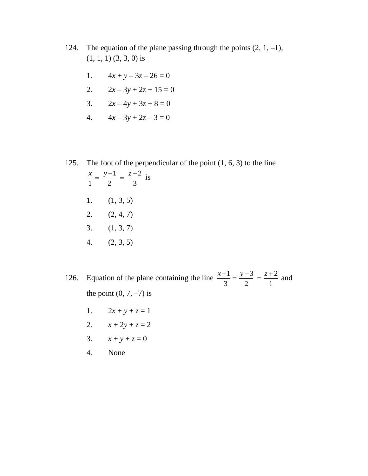- 124. The equation of the plane passing through the points  $(2, 1, -1)$ , (1, 1, 1) (3, 3, 0) is
	- 1.  $4x + y 3z 26 = 0$
	- 2.  $2x 3y + 2z + 15 = 0$
	- 3.  $2x-4y+3z+8=0$
	- 4.  $4x-3y+2z-3=0$
- 125. The foot of the perpendicular of the point (1, 6, 3) to the line  $1 \t z-2$  $\frac{1}{1} = \frac{1}{2} = \frac{1}{3}$  $\frac{x}{1} = \frac{y-1}{2} = \frac{z-2}{3}$  is 1.  $(1, 3, 5)$ 2. (2, 4, 7) 3. (1, 3, 7) 4. (2, 3, 5)

126. Equation of the plane containing the line  $\frac{x+1}{2} = \frac{y-3}{2} = \frac{z+2}{4}$  $\frac{1}{3} = \frac{1}{2} = \frac{1}{1}$  $\frac{x+1}{2} = \frac{y-3}{2} = \frac{z+2}{1}$  $\overline{a}$ and the point  $(0, 7, -7)$  is

- 1.  $2x + y + z = 1$
- 2.  $x + 2y + z = 2$
- 3.  $x + y + z = 0$
- 4. None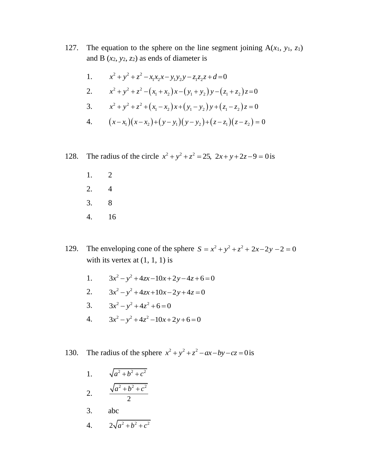127. The equation to the sphere on the line segment joining  $A(x_1, y_1, z_1)$ and B  $(x_2, y_2, z_2)$  as ends of diameter is

1. 
$$
x^2 + y^2 + z^2 - x_1x_2x - y_1y_2y - z_1z_2z + d = 0
$$

1. 
$$
x^{2} + y^{2} + z^{2} - x_{1}x_{2}x - y_{1}y_{2}y - z_{1}z_{2}z + d = 0
$$
  
\n2. 
$$
x^{2} + y^{2} + z^{2} - (x_{1} + x_{2})x - (y_{1} + y_{2})y - (z_{1} + z_{2})z = 0
$$
  
\n3. 
$$
x^{2} + y^{2} + z^{2} + (x_{1} - x_{2})x + (y_{1} - y_{2})y + (z_{1} - z_{2})z = 0
$$

3. 
$$
x^2 + y^2 + z^2 + (x_1 - x_2)x + (y_1 - y_2)y + (z_1 - z_2)z = 0
$$

3. 
$$
x^{2} + y^{2} + z^{2} + (x_{1} - x_{2})x + (y_{1} - y_{2})y + (z_{1} - z_{2})z = 0
$$
  
4. 
$$
(x - x_{1})(x - x_{2}) + (y - y_{1})(y - y_{2}) + (z - z_{1})(z - z_{2}) = 0
$$

128. The radius of the circle  $x^2 + y^2 + z^2 = 25$ ,  $2x + y + 2z - 9 = 0$  is

- 1. 2 2. 4 3. 8 4. 16
- 129. The enveloping cone of the sphere  $S = x^2 + y^2 + z^2 + 2x 2y 2 = 0$ with its vertex at  $(1, 1, 1)$  is
	- 1.  $3x^2 - y^2 + 4zx - 10x + 2y - 4z + 6 = 0$
	- 2.  $3x^2 - y^2 + 4zx + 10x - 2y + 4z = 0$
	- 3.  $3x^2 y^2 + 4z^2 + 6 = 0$
	- 4.  $3x^2 y^2 + 4z^2 10x + 2y + 6 = 0$
- 130. The radius of the sphere  $x^2 + y^2 + z^2 ax by cz = 0$  is
	- 1.  $\sqrt{a^2 + b^2 + c^2}$ 2.  $^{2}$   $^{2}$   $^{2}$  $a^2 + b^2 + c$
	- 2
	- 3. abc
	- 4.  $2\sqrt{a^2 + b^2 + c^2}$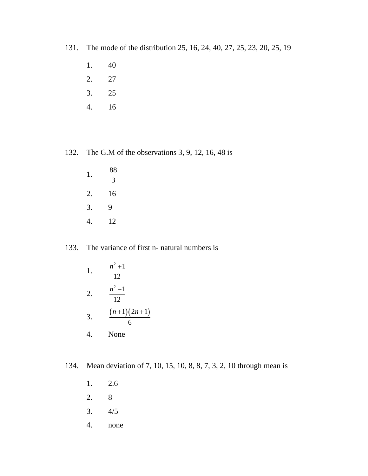- 131. The mode of the distribution 25, 16, 24, 40, 27, 25, 23, 20, 25, 19
	- 1. 40
	- 2. 27
	- 3. 25
	- 4. 16

#### 132. The G.M of the observations 3, 9, 12, 16, 48 is

1. 88 3 2. 16 3. 9 4. 12

#### 133. The variance of first n- natural numbers is

- 1.  $^{2}+1$ 12  $n^2 +$ 2.  $2^2-1$ 12  $n^2$  – 3.  $(n+1)(2n+1)$ 6  $(n+1)(2n+1)$ 4. None
- 134. Mean deviation of 7, 10, 15, 10, 8, 8, 7, 3, 2, 10 through mean is
	- 1. 2.6 2. 8
	- 3. 4/5
	- 4. none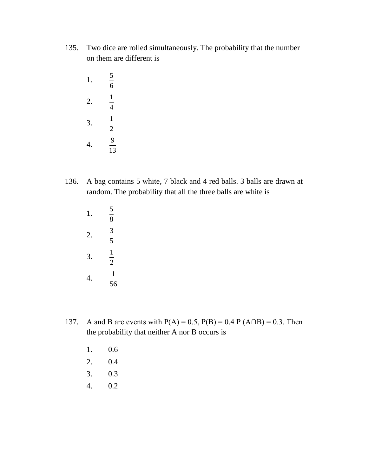- 135. Two dice are rolled simultaneously. The probability that the number on them are different is
	- 1. 5 6 2. 1 4 3. 1 2 4. 9 13
- 136. A bag contains 5 white, 7 black and 4 red balls. 3 balls are drawn at random. The probability that all the three balls are white is
	- 1. 5 8 2. 3 5 3. 1 2 4. 1 56
- 137. A and B are events with  $P(A) = 0.5$ ,  $P(B) = 0.4$  P  $(A \cap B) = 0.3$ . Then the probability that neither A nor B occurs is
	- 1. 0.6
	- 2. 0.4
	- 3. 0.3
	- 4. 0.2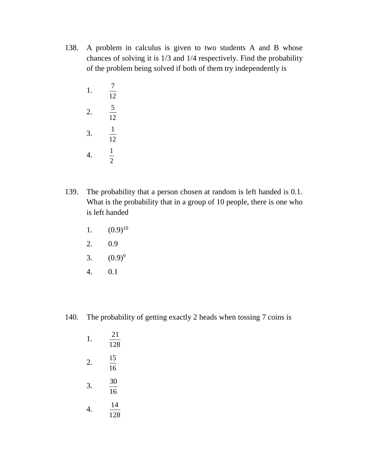- 138. A problem in calculus is given to two students A and B whose chances of solving it is 1/3 and 1/4 respectively. Find the probability of the problem being solved if both of them try independently is
	- 1. 7 12 2. 5 12 3. 1 12 4. 1 2
- 139. The probability that a person chosen at random is left handed is 0.1. What is the probability that in a group of 10 people, there is one who is left handed
	- 1.  $(0.9)^{10}$
	- 2. 0.9
	- 3.  $(0.9)^9$
	- 4. 0.1

140. The probability of getting exactly 2 heads when tossing 7 coins is

1. 21 128 2. 15 16 3. 30  $\overline{16}$ 4. 14 128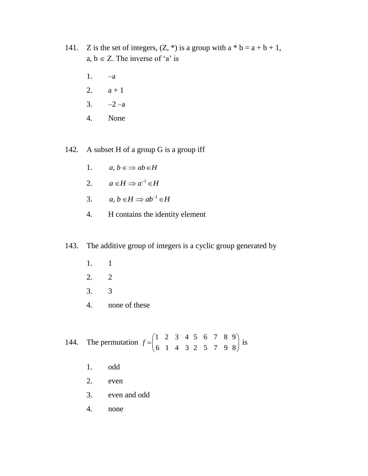- 141. Z is the set of integers,  $(Z, * )$  is a group with  $a * b = a + b + 1$ , a,  $b \in Z$ . The inverse of 'a' is
	- 1. –a
	- 2.  $a + 1$
	- 3.  $-2 a$
	- 4. None

142. A subset H of a group G is a group iff

- 1.  $a, b \in \Rightarrow ab \in H$
- 2.  $a \in H \Rightarrow a^{-1} \in H$
- 3.  $a, b \in H \Rightarrow ab^{-1} \in H$
- 4. H contains the identity element

### 143. The additive group of integers is a cyclic group generated by

- 1. 1
- 2. 2
- 3. 3
- 4. none of these

144. The permutation 
$$
f = \begin{pmatrix} 1 & 2 & 3 & 4 & 5 & 6 & 7 & 8 & 9 \\ 6 & 1 & 4 & 3 & 2 & 5 & 7 & 9 & 8 \end{pmatrix}
$$
 is

- 1. odd
- 2. even
- 3. even and odd
- 4. none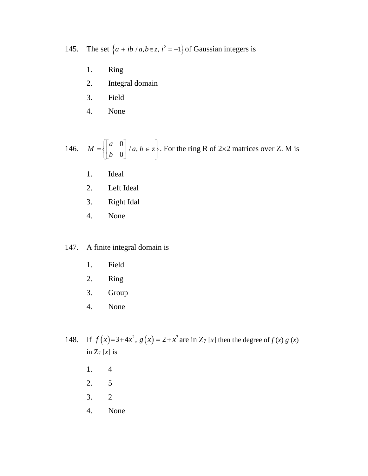145. The set  $\{a + ib / a, b \in z, i^2 = -1\}$  of Gaussian integers is

- 1. Ring
- 2. Integral domain
- 3. Field
- 4. None

146. 
$$
M = \begin{bmatrix} a & 0 \\ b & 0 \end{bmatrix} / a, b \in z
$$
. For the ring R of 2×2 matrices over Z. M is

- 1. Ideal
- 2. Left Ideal
- 3. Right Idal
- 4. None

#### 147. A finite integral domain is

- 1. Field
- 2. Ring
- 3. Group
- 4. None
- 148.  $f(x)=3+4x^2$ ,  $g(x)=2+x^3$  are in Z<sub>7</sub> [x] then the degree of  $f(x)g(x)$ in Z<sup>7</sup> [*x*] is
	- 1. 4
	- 2. 5
	- 3. 2
	- 4. None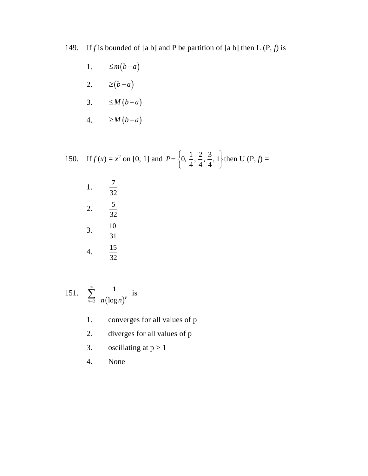149. If *f* is bounded of [a b] and P be partition of [a b] then L  $(P, f)$  is

1. 
$$
\leq m(b-a)
$$

- 2.  $\geq (b-a)$
- 3.  $\leq M(b-a)$
- 4.  $\geq M(b-a)$

150. If 
$$
f(x) = x^2
$$
 on [0, 1] and  $P = \left\{0, \frac{1}{4}, \frac{2}{4}, \frac{3}{4}, 1\right\}$  then U (P,  $f$ ) =

1. 
$$
\frac{7}{32}
$$
  
2.  $\frac{5}{32}$   
3.  $\frac{10}{31}$   
4.  $\frac{15}{32}$ 

151. 
$$
\sum_{n=2}^{\infty} \frac{1}{n(\log n)^p}
$$
 is

- 1. converges for all values of p
- 2. diverges for all values of p
- 3. oscillating at  $p > 1$
- 4. None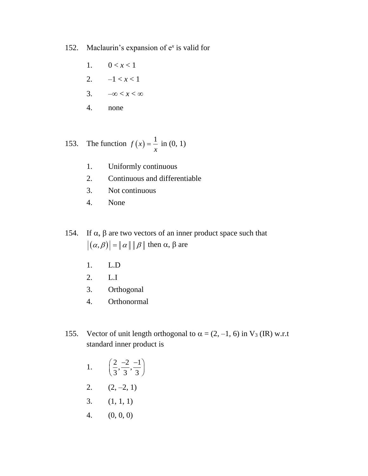- 152. Maclaurin's expansion of e*<sup>x</sup>* is valid for
	- 1.  $0 < x < 1$
	- 2.  $-1 < x < 1$
	- 3.  $-\infty < x < \infty$
	- 4. none

153. The function 
$$
f(x) = \frac{1}{x}
$$
 in (0, 1)

- 1. Uniformly continuous
- 2. Continuous and differentiable
- 3. Not continuous
- 4. None
- 154. If  $\alpha$ ,  $\beta$  are two vectors of an inner product space such that  $(\alpha, \beta)$  =  $\|\alpha\| \|\beta\|$  then  $\alpha$ ,  $\beta$  are
	- 1. L.D
	- 2. L.I
	- 3. Orthogonal
	- 4. Orthonormal
- 155. Vector of unit length orthogonal to  $\alpha = (2, -1, 6)$  in  $V_3$  (IR) w.r.t standard inner product is

1. 
$$
\left(\frac{2}{3}, \frac{-2}{3}, \frac{-1}{3}\right)
$$

- 2.  $(2, -2, 1)$
- 3. (1, 1, 1)
- 4. (0, 0, 0)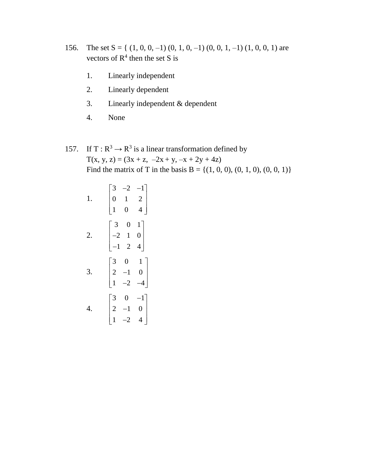- 156. The set  $S = \{(1, 0, 0, -1), (0, 1, 0, -1), (0, 0, 1, -1), (1, 0, 0, 1),\}$  are vectors of  $R<sup>4</sup>$  then the set S is
	- 1. Linearly independent
	- 2. Linearly dependent
	- 3. Linearly independent & dependent
	- 4. None
- 157. If T :  $R^3 \rightarrow R^3$  is a linear transformation defined by  $T(x, y, z) = (3x + z, -2x + y, -x + 2y + 4z)$ Find the matrix of T in the basis B = { $(1, 0, 0)$ ,  $(0, 1, 0)$ ,  $(0, 0, 1)$ }

1. 
$$
\begin{bmatrix} 3 & -2 & -1 \\ 0 & 1 & 2 \\ 1 & 0 & 4 \end{bmatrix}
$$
  
2. 
$$
\begin{bmatrix} 3 & 0 & 1 \\ -2 & 1 & 0 \\ -1 & 2 & 4 \end{bmatrix}
$$
  
3. 
$$
\begin{bmatrix} 3 & 0 & 1 \\ 2 & -1 & 0 \\ 1 & -2 & -4 \end{bmatrix}
$$
  
4. 
$$
\begin{bmatrix} 3 & 0 & -1 \\ 2 & -1 & 0 \\ 1 & -2 & 4 \end{bmatrix}
$$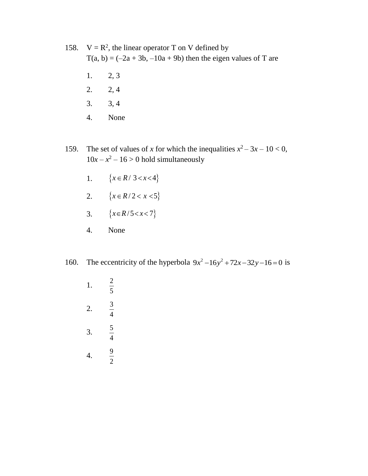158.  $V = R^2$ , the linear operator T on V defined by  $T(a, b) = (-2a + 3b, -10a + 9b)$  then the eigen values of T are

- 1. 2, 3
- 2. 2, 4
- 3. 3, 4
- 4. None
- 159. The set of values of *x* for which the inequalities  $x^2 3x 10 < 0$ ,  $10x - x^2 - 16 > 0$  hold simultaneously
	- 1.  $\{x \in R / 3 < x < 4\}$
	- 2.  $\{x \in R/2 < x < 5\}$
	- 3.  ${x \in R/5 < x < 7}$
	- 4. None
- 160. The eccentricity of the hyperbola  $9x^2 16y^2 + 72x 32y 16 = 0$  is
	- 1. 2 5 2. 3 4 3. 5 4 4. 9 2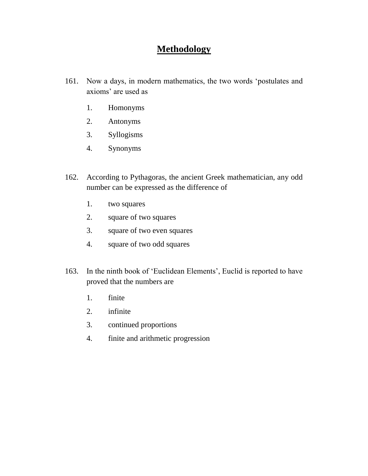## **Methodology**

- 161. Now a days, in modern mathematics, the two words 'postulates and axioms' are used as
	- 1. Homonyms
	- 2. Antonyms
	- 3. Syllogisms
	- 4. Synonyms
- 162. According to Pythagoras, the ancient Greek mathematician, any odd number can be expressed as the difference of
	- 1. two squares
	- 2. square of two squares
	- 3. square of two even squares
	- 4. square of two odd squares
- 163. In the ninth book of 'Euclidean Elements', Euclid is reported to have proved that the numbers are
	- 1. finite
	- 2. infinite
	- 3. continued proportions
	- 4. finite and arithmetic progression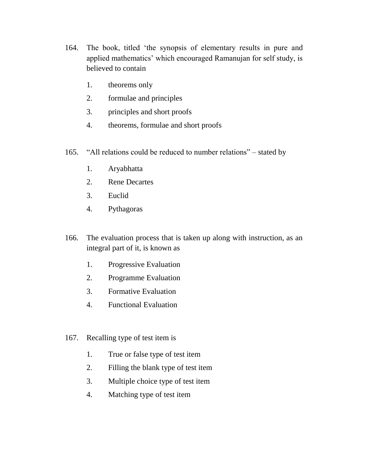- 164. The book, titled 'the synopsis of elementary results in pure and applied mathematics' which encouraged Ramanujan for self study, is believed to contain
	- 1. theorems only
	- 2. formulae and principles
	- 3. principles and short proofs
	- 4. theorems, formulae and short proofs
- 165. "All relations could be reduced to number relations" stated by
	- 1. Aryabhatta
	- 2. Rene Decartes
	- 3. Euclid
	- 4. Pythagoras
- 166. The evaluation process that is taken up along with instruction, as an integral part of it, is known as
	- 1. Progressive Evaluation
	- 2. Programme Evaluation
	- 3. Formative Evaluation
	- 4. Functional Evaluation
- 167. Recalling type of test item is
	- 1. True or false type of test item
	- 2. Filling the blank type of test item
	- 3. Multiple choice type of test item
	- 4. Matching type of test item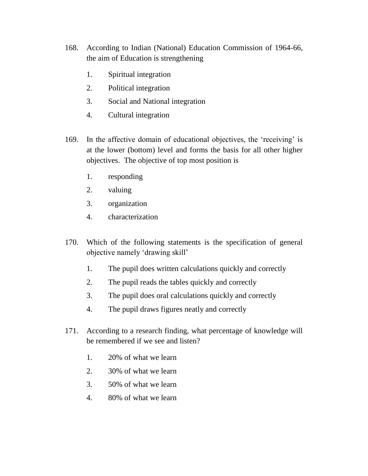- 168. According to Indian (National) Education Commission of 1964-66, the aim of Education is strengthening
	- 1. Spiritual integration
	- 2. Political integration
	- 3. Social and National integration
	- 4. Cultural integration
- 169. In the affective domain of educational objectives, the 'receiving' is at the lower (bottom) level and forms the basis for all other higher objectives. The objective of top most position is
	- 1. responding
	- 2. valuing
	- 3. organization
	- 4. characterization
- 170. Which of the following statements is the specification of general objective namely 'drawing skill'
	- 1. The pupil does written calculations quickly and correctly
	- 2. The pupil reads the tables quickly and correctly
	- 3. The pupil does oral calculations quickly and correctly
	- 4. The pupil draws figures neatly and correctly
- 171. According to a research finding, what percentage of knowledge will be remembered if we see and listen?
	- 1. 20% of what we learn
	- 2. 30% of what we learn
	- 3. 50% of what we learn
	- 4. 80% of what we learn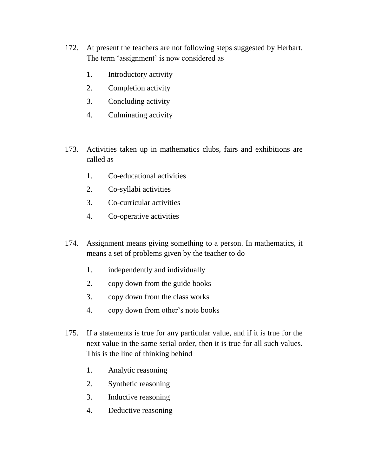- 172. At present the teachers are not following steps suggested by Herbart. The term 'assignment' is now considered as
	- 1. Introductory activity
	- 2. Completion activity
	- 3. Concluding activity
	- 4. Culminating activity
- 173. Activities taken up in mathematics clubs, fairs and exhibitions are called as
	- 1. Co-educational activities
	- 2. Co-syllabi activities
	- 3. Co-curricular activities
	- 4. Co-operative activities
- 174. Assignment means giving something to a person. In mathematics, it means a set of problems given by the teacher to do
	- 1. independently and individually
	- 2. copy down from the guide books
	- 3. copy down from the class works
	- 4. copy down from other's note books
- 175. If a statements is true for any particular value, and if it is true for the next value in the same serial order, then it is true for all such values. This is the line of thinking behind
	- 1. Analytic reasoning
	- 2. Synthetic reasoning
	- 3. Inductive reasoning
	- 4. Deductive reasoning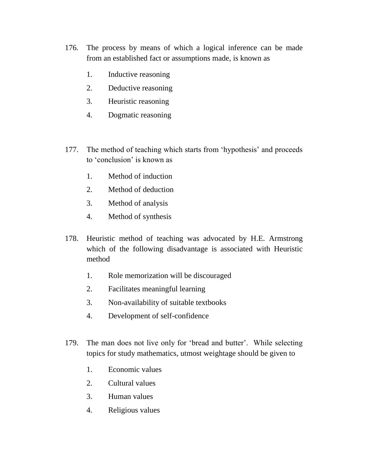- 176. The process by means of which a logical inference can be made from an established fact or assumptions made, is known as
	- 1. Inductive reasoning
	- 2. Deductive reasoning
	- 3. Heuristic reasoning
	- 4. Dogmatic reasoning
- 177. The method of teaching which starts from 'hypothesis' and proceeds to 'conclusion' is known as
	- 1. Method of induction
	- 2. Method of deduction
	- 3. Method of analysis
	- 4. Method of synthesis
- 178. Heuristic method of teaching was advocated by H.E. Armstrong which of the following disadvantage is associated with Heuristic method
	- 1. Role memorization will be discouraged
	- 2. Facilitates meaningful learning
	- 3. Non-availability of suitable textbooks
	- 4. Development of self-confidence
- 179. The man does not live only for 'bread and butter'. While selecting topics for study mathematics, utmost weightage should be given to
	- 1. Economic values
	- 2. Cultural values
	- 3. Human values
	- 4. Religious values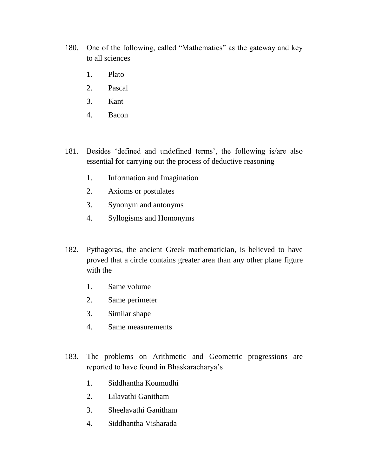- 180. One of the following, called "Mathematics" as the gateway and key to all sciences
	- 1. Plato
	- 2. Pascal
	- 3. Kant
	- 4. Bacon
- 181. Besides 'defined and undefined terms', the following is/are also essential for carrying out the process of deductive reasoning
	- 1. Information and Imagination
	- 2. Axioms or postulates
	- 3. Synonym and antonyms
	- 4. Syllogisms and Homonyms
- 182. Pythagoras, the ancient Greek mathematician, is believed to have proved that a circle contains greater area than any other plane figure with the
	- 1. Same volume
	- 2. Same perimeter
	- 3. Similar shape
	- 4. Same measurements
- 183. The problems on Arithmetic and Geometric progressions are reported to have found in Bhaskaracharya's
	- 1. Siddhantha Koumudhi
	- 2. Lilavathi Ganitham
	- 3. Sheelavathi Ganitham
	- 4. Siddhantha Visharada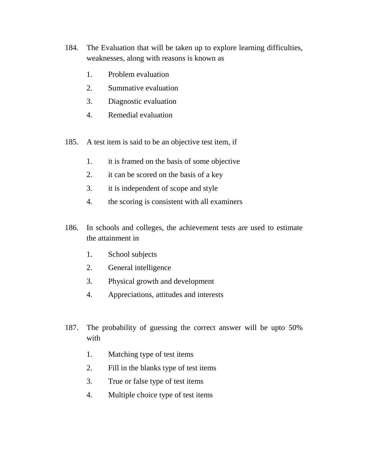- 184. The Evaluation that will be taken up to explore learning difficulties, weaknesses, along with reasons is known as
	- 1. Problem evaluation
	- 2. Summative evaluation
	- 3. Diagnostic evaluation
	- 4. Remedial evaluation
- 185. A test item is said to be an objective test item, if
	- 1. it is framed on the basis of some objective
	- 2. it can be scored on the basis of a key
	- 3. it is independent of scope and style
	- 4. the scoring is consistent with all examiners
- 186. In schools and colleges, the achievement tests are used to estimate the attainment in
	- 1. School subjects
	- 2. General intelligence
	- 3. Physical growth and development
	- 4. Appreciations, attitudes and interests
- 187. The probability of guessing the correct answer will be upto 50% with
	- 1. Matching type of test items
	- 2. Fill in the blanks type of test items
	- 3. True or false type of test items
	- 4. Multiple choice type of test items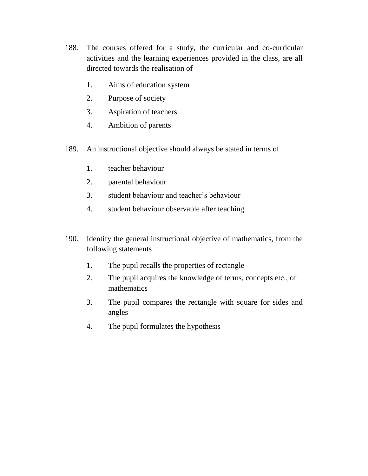- 188. The courses offered for a study, the curricular and co-curricular activities and the learning experiences provided in the class, are all directed towards the realisation of
	- 1. Aims of education system
	- 2. Purpose of society
	- 3. Aspiration of teachers
	- 4. Ambition of parents
- 189. An instructional objective should always be stated in terms of
	- 1. teacher behaviour
	- 2. parental behaviour
	- 3. student behaviour and teacher's behaviour
	- 4. student behaviour observable after teaching
- 190. Identify the general instructional objective of mathematics, from the following statements
	- 1. The pupil recalls the properties of rectangle
	- 2. The pupil acquires the knowledge of terms, concepts etc., of mathematics
	- 3. The pupil compares the rectangle with square for sides and angles
	- 4. The pupil formulates the hypothesis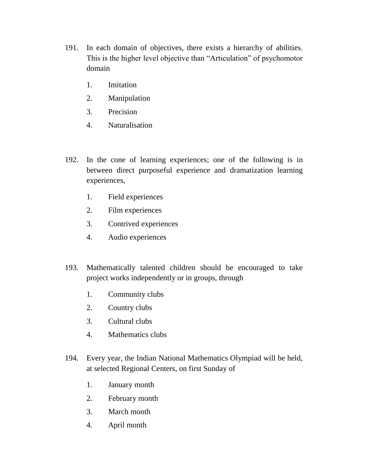- 191. In each domain of objectives, there exists a hierarchy of abilities. This is the higher level objective than "Articulation" of psychomotor domain
	- 1. Imitation
	- 2. Manipulation
	- 3. Precision
	- 4. Naturalisation
- 192. In the cone of learning experiences; one of the following is in between direct purposeful experience and dramatization learning experiences,
	- 1. Field experiences
	- 2. Film experiences
	- 3. Contrived experiences
	- 4. Audio experiences
- 193. Mathematically talented children should be encouraged to take project works independently or in groups, through
	- 1. Community clubs
	- 2. Country clubs
	- 3. Cultural clubs
	- 4. Mathematics clubs
- 194. Every year, the Indian National Mathematics Olympiad will be held, at selected Regional Centers, on first Sunday of
	- 1. January month
	- 2. February month
	- 3. March month
	- 4. April month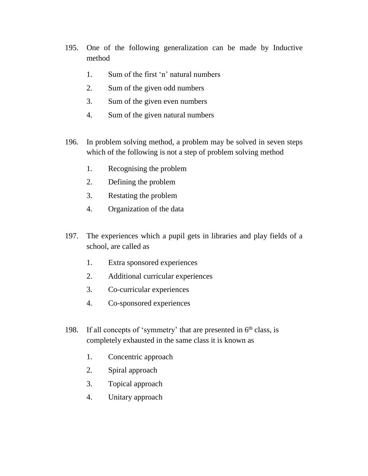- 195. One of the following generalization can be made by Inductive method
	- 1. Sum of the first 'n' natural numbers
	- 2. Sum of the given odd numbers
	- 3. Sum of the given even numbers
	- 4. Sum of the given natural numbers
- 196. In problem solving method, a problem may be solved in seven steps which of the following is not a step of problem solving method
	- 1. Recognising the problem
	- 2. Defining the problem
	- 3. Restating the problem
	- 4. Organization of the data
- 197. The experiences which a pupil gets in libraries and play fields of a school, are called as
	- 1. Extra sponsored experiences
	- 2. Additional curricular experiences
	- 3. Co-curricular experiences
	- 4. Co-sponsored experiences
- 198. If all concepts of 'symmetry' that are presented in  $6<sup>th</sup>$  class, is completely exhausted in the same class it is known as
	- 1. Concentric approach
	- 2. Spiral approach
	- 3. Topical approach
	- 4. Unitary approach